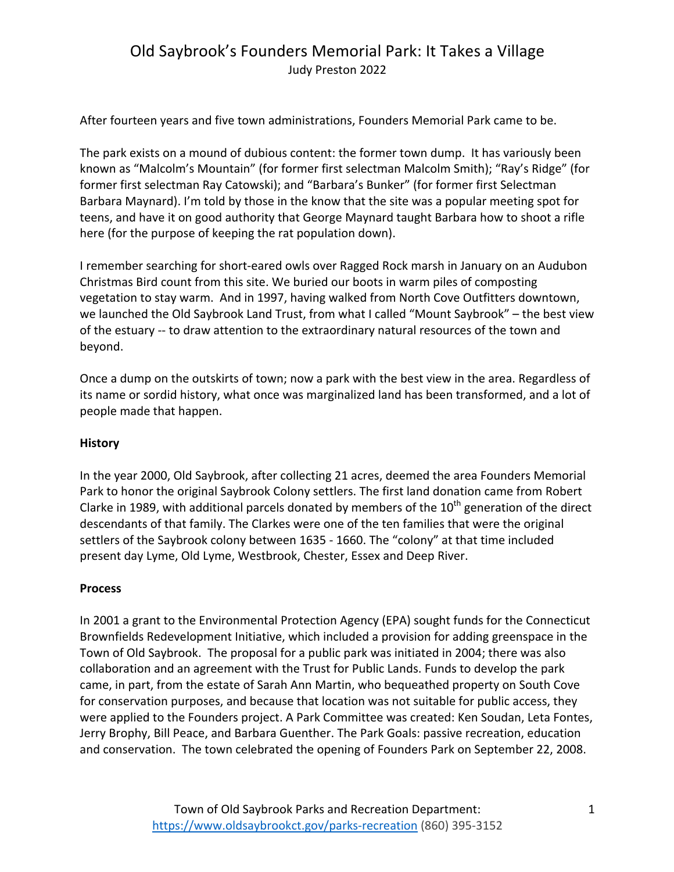# Old Saybrook's Founders Memorial Park: It Takes a Village Judy Preston 2022

After fourteen years and five town administrations, Founders Memorial Park came to be.

The park exists on a mound of dubious content: the former town dump. It has variously been known as "Malcolm's Mountain" (for former first selectman Malcolm Smith); "Ray's Ridge" (for former first selectman Ray Catowski); and "Barbara's Bunker" (for former first Selectman Barbara Maynard). I'm told by those in the know that the site was a popular meeting spot for teens, and have it on good authority that George Maynard taught Barbara how to shoot a rifle here (for the purpose of keeping the rat population down).

I remember searching for short-eared owls over Ragged Rock marsh in January on an Audubon Christmas Bird count from this site. We buried our boots in warm piles of composting vegetation to stay warm. And in 1997, having walked from North Cove Outfitters downtown, we launched the Old Saybrook Land Trust, from what I called "Mount Saybrook" – the best view of the estuary -- to draw attention to the extraordinary natural resources of the town and beyond.

Once a dump on the outskirts of town; now a park with the best view in the area. Regardless of its name or sordid history, what once was marginalized land has been transformed, and a lot of people made that happen.

### **History**

In the year 2000, Old Saybrook, after collecting 21 acres, deemed the area Founders Memorial Park to honor the original Saybrook Colony settlers. The first land donation came from Robert Clarke in 1989, with additional parcels donated by members of the  $10^{th}$  generation of the direct descendants of that family. The Clarkes were one of the ten families that were the original settlers of the Saybrook colony between 1635 - 1660. The "colony" at that time included present day Lyme, Old Lyme, Westbrook, Chester, Essex and Deep River.

### **Process**

In 2001 a grant to the Environmental Protection Agency (EPA) sought funds for the Connecticut Brownfields Redevelopment Initiative, which included a provision for adding greenspace in the Town of Old Saybrook. The proposal for a public park was initiated in 2004; there was also collaboration and an agreement with the Trust for Public Lands. Funds to develop the park came, in part, from the estate of Sarah Ann Martin, who bequeathed property on South Cove for conservation purposes, and because that location was not suitable for public access, they were applied to the Founders project. A Park Committee was created: Ken Soudan, Leta Fontes, Jerry Brophy, Bill Peace, and Barbara Guenther. The Park Goals: passive recreation, education and conservation. The town celebrated the opening of Founders Park on September 22, 2008.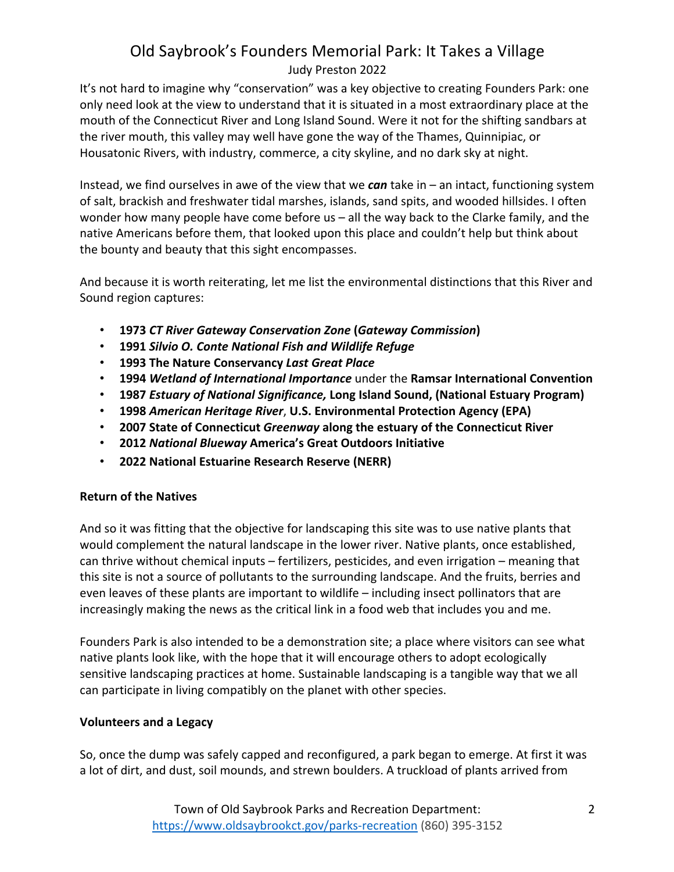## Old Saybrook's Founders Memorial Park: It Takes a Village Judy Preston 2022

It's not hard to imagine why "conservation" was a key objective to creating Founders Park: one only need look at the view to understand that it is situated in a most extraordinary place at the mouth of the Connecticut River and Long Island Sound. Were it not for the shifting sandbars at the river mouth, this valley may well have gone the way of the Thames, Quinnipiac, or Housatonic Rivers, with industry, commerce, a city skyline, and no dark sky at night.

Instead, we find ourselves in awe of the view that we *can* take in – an intact, functioning system of salt, brackish and freshwater tidal marshes, islands, sand spits, and wooded hillsides. I often wonder how many people have come before  $us -$  all the way back to the Clarke family, and the native Americans before them, that looked upon this place and couldn't help but think about the bounty and beauty that this sight encompasses.

And because it is worth reiterating, let me list the environmental distinctions that this River and Sound region captures:

- **1973** *CT River Gateway Conservation Zone* **(***Gateway Commission***)**
- **1991** *Silvio O. Conte National Fish and Wildlife Refuge*
- **1993 The Nature Conservancy** *Last Great Place*
- **1994** *Wetland of International Importance* under the **Ramsar International Convention**
- **1987** *Estuary of National Significance,* **Long Island Sound, (National Estuary Program)**
- **1998** *American Heritage River*, **U.S. Environmental Protection Agency (EPA)**
- **2007 State of Connecticut Greenway along the estuary of the Connecticut River**
- **2012** *National Blueway* **America's Great Outdoors Initiative**
- **2022 National Estuarine Research Reserve (NERR)**

## **Return of the Natives**

And so it was fitting that the objective for landscaping this site was to use native plants that would complement the natural landscape in the lower river. Native plants, once established, can thrive without chemical inputs – fertilizers, pesticides, and even irrigation – meaning that this site is not a source of pollutants to the surrounding landscape. And the fruits, berries and even leaves of these plants are important to wildlife - including insect pollinators that are increasingly making the news as the critical link in a food web that includes you and me.

Founders Park is also intended to be a demonstration site; a place where visitors can see what native plants look like, with the hope that it will encourage others to adopt ecologically sensitive landscaping practices at home. Sustainable landscaping is a tangible way that we all can participate in living compatibly on the planet with other species.

## **Volunteers and a Legacy**

So, once the dump was safely capped and reconfigured, a park began to emerge. At first it was a lot of dirt, and dust, soil mounds, and strewn boulders. A truckload of plants arrived from